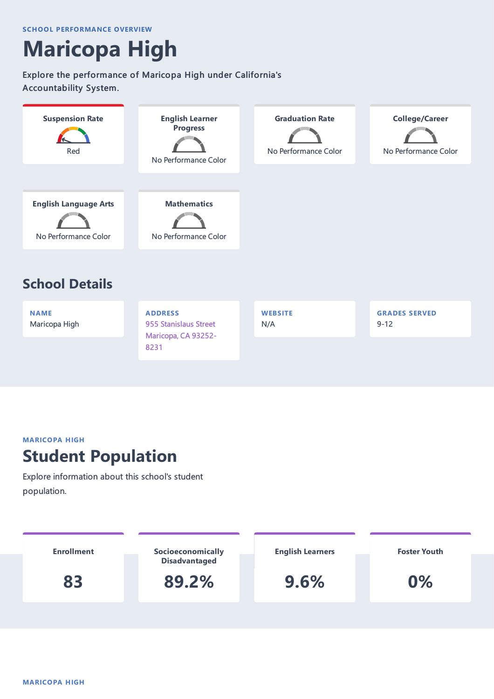# **Maricopa High**

#### Explore the performance of Maricopa High under California's Accountability System.



#### **MARICOPA HIGH**

### **Student Population**

Explore information about this school's student population.

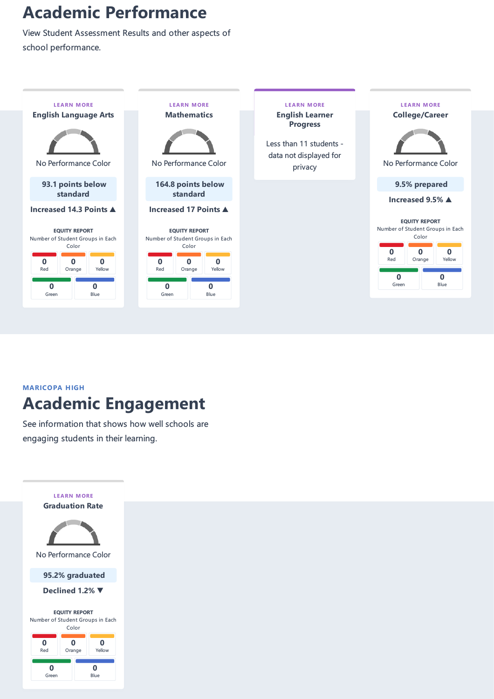## **Academic Performance**

View Student Assessment Results and other aspects of school performance.



### **MARICOPA HIGH Academic Engagement**

See information that shows how well schools are engaging students in their learning.